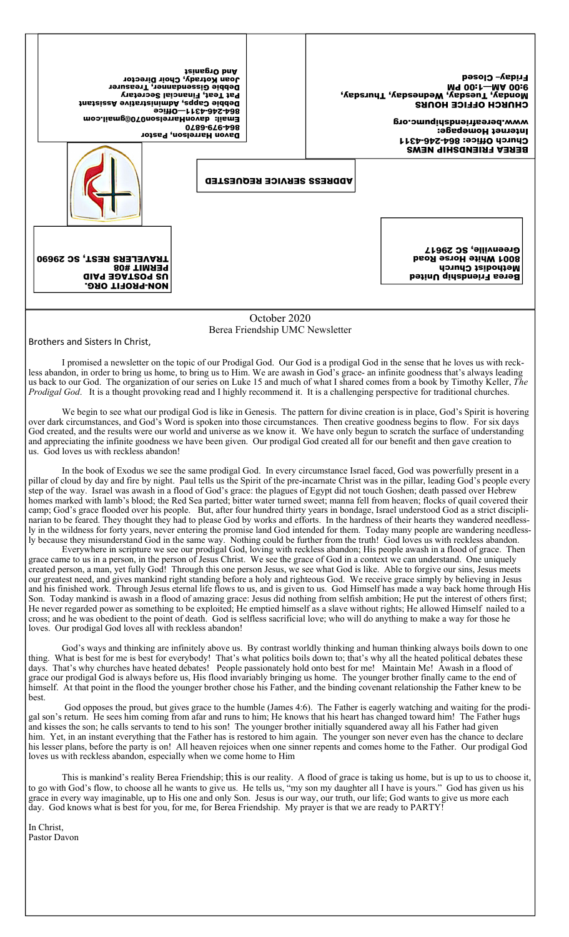| Joan Kotrady, Choir Director<br>Debbie Gissendanner, Treasurer<br>Pat Teat, Financial Secretary<br>Debbie Capps, Administrative Assistant<br>90<br>Email: davonHarrelson070@gmail.com<br>Davon Harrelson, Pastor | <b>JeinsgyO</b> bnA<br>0489-646-798 |                                                 | "Nepsuny" (Yepseupe Wequeson") for the construction | <b>Friday– Closed</b><br>M9 00:1-MA 00:6<br><b>CHNKCH OFFICE HONKS</b><br>www.bereafriendshipumc.org<br>Internet Homepage:<br><b>Church Office: 864-245-4311</b><br><b>BEREA FRIENDSHIP NEWS</b> |                                                                                                            |
|------------------------------------------------------------------------------------------------------------------------------------------------------------------------------------------------------------------|-------------------------------------|-------------------------------------------------|-----------------------------------------------------|--------------------------------------------------------------------------------------------------------------------------------------------------------------------------------------------------|------------------------------------------------------------------------------------------------------------|
|                                                                                                                                                                                                                  |                                     | <b>ADDRESS SERVICE REQUESTED</b>                |                                                     |                                                                                                                                                                                                  |                                                                                                            |
| TRAVELERS REST, SC 29690<br><b>PERMIT #08</b><br><b>GIAG BOAT209 SU</b><br><b>NON-PROFIT ORG.</b>                                                                                                                |                                     |                                                 |                                                     |                                                                                                                                                                                                  | Greenville, SC 29617<br><b>B001 White Horse Road</b><br>Methodist Church<br><b>Berea Friendship United</b> |
|                                                                                                                                                                                                                  |                                     | October 2020<br>Berea Friendship UMC Newsletter |                                                     |                                                                                                                                                                                                  |                                                                                                            |

Brothers and Sisters In Christ,

I promised a newsletter on the topic of our Prodigal God. Our God is a prodigal God in the sense that he loves us with reckless abandon, in order to bring us home, to bring us to Him. We are awash in God's grace- an infinite goodness that's always leading us back to our God. The organization of our series on Luke 15 and much of what I shared comes from a book by Timothy Keller, *The Prodigal God*. It is a thought provoking read and I highly recommend it. It is a challenging perspective for traditional churches.

We begin to see what our prodigal God is like in Genesis. The pattern for divine creation is in place, God's Spirit is hovering over dark circumstances, and God's Word is spoken into those circumstances. Then creative goodness begins to flow. For six days God created, and the results were our world and universe as we know it. We have only begun to scratch the surface of understanding and appreciating the infinite goodness we have been given. Our prodigal God created all for our benefit and then gave creation to us. God loves us with reckless abandon!

In the book of Exodus we see the same prodigal God. In every circumstance Israel faced, God was powerfully present in a pillar of cloud by day and fire by night. Paul tells us the Spirit of the pre-incarnate Christ was in the pillar, leading God's people every step of the way. Israel was awash in a flood of God's grace: the plagues of Egypt did not touch Goshen; death passed over Hebrew homes marked with lamb's blood; the Red Sea parted; bitter water turned sweet; manna fell from heaven; flocks of quail covered their camp; God's grace flooded over his people. But, after four hundred thirty years in bondage, Israel understood God as a strict disciplinarian to be feared. They thought they had to please God by works and efforts. In the hardness of their hearts they wandered needlessly in the wildness for forty years, never entering the promise land God intended for them. Today many people are wandering needlessly because they misunderstand God in the same way. Nothing could be further from the truth! God loves us with reckless abandon.

Everywhere in scripture we see our prodigal God, loving with reckless abandon; His people awash in a flood of grace. Then grace came to us in a person, in the person of Jesus Christ. We see the grace of God in a context we can understand. One uniquely created person, a man, yet fully God! Through this one person Jesus, we see what God is like. Able to forgive our sins, Jesus meets our greatest need, and gives mankind right standing before a holy and righteous God. We receive grace simply by believing in Jesus and his finished work. Through Jesus eternal life flows to us, and is given to us. God Himself has made a way back home through His Son. Today mankind is awash in a flood of amazing grace: Jesus did nothing from selfish ambition; He put the interest of others first; He never regarded power as something to be exploited; He emptied himself as a slave without rights; He allowed Himself nailed to a cross; and he was obedient to the point of death. God is selfless sacrificial love; who will do anything to make a way for those he loves. Our prodigal God loves all with reckless abandon!

God's ways and thinking are infinitely above us. By contrast worldly thinking and human thinking always boils down to one thing. What is best for me is best for everybody! That's what politics boils down to; that's why all the heated political debates these days. That's why churches have heated debates! People passionately hold onto best for me! Maintain Me! Awash in a flood of grace our prodigal God is always before us, His flood invariably bringing us home. The younger brother finally came to the end of himself. At that point in the flood the younger brother chose his Father, and the binding covenant relationship the Father knew to be best.

God opposes the proud, but gives grace to the humble (James 4:6). The Father is eagerly watching and waiting for the prodigal son's return. He sees him coming from afar and runs to him; He knows that his heart has changed toward him! The Father hugs and kisses the son; he calls servants to tend to his son! The younger brother initially squandered away all his Father had given him. Yet, in an instant everything that the Father has is restored to him again. The younger son never even has the chance to declare his lesser plans, before the party is on! All heaven rejoices when one sinner repents and comes home to the Father. Our prodigal God loves us with reckless abandon, especially when we come home to Him

This is mankind's reality Berea Friendship; this is our reality. A flood of grace is taking us home, but is up to us to choose it, to go with God's flow, to choose all he wants to give us. He tells us, "my son my daughter all I have is yours." God has given us his grace in every way imaginable, up to His one and only Son. Jesus is our way, our truth, our life; God wants to give us more each day. God knows what is best for you, for me, for Berea Friendship. My prayer is that we are ready to PARTY!

In Christ, Pastor Davon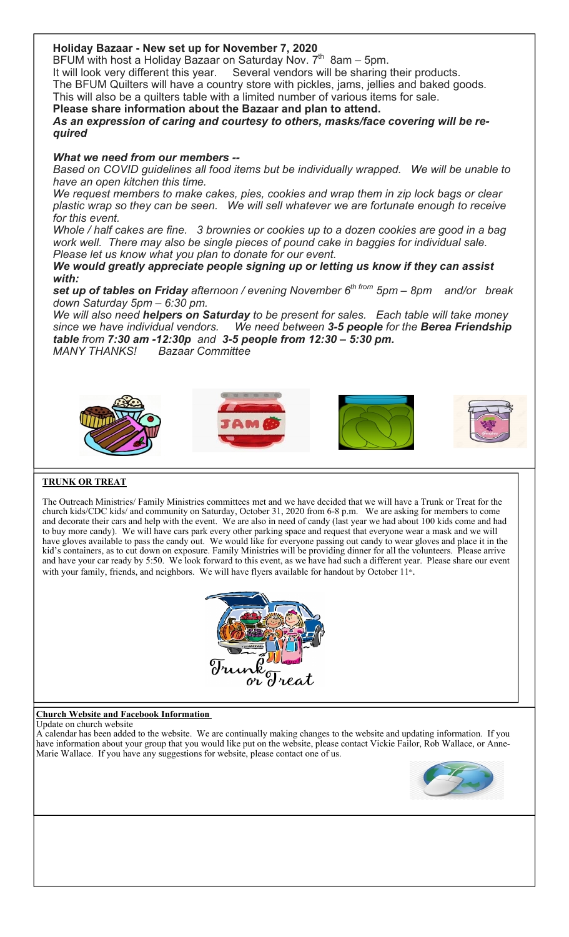## **Holiday Bazaar - New set up for November 7, 2020**

BFUM with host a Holiday Bazaar on Saturday Nov.  $7^{th}$  8am – 5pm.

It will look very different this year. Several vendors will be sharing their products. The BFUM Quilters will have a country store with pickles, jams, jellies and baked goods.

This will also be a quilters table with a limited number of various items for sale.

**Please share information about the Bazaar and plan to attend.**

*As an expression of caring and courtesy to others, masks/face covering will be required*

#### *What we need from our members --*

*Based on COVID guidelines all food items but be individually wrapped. We will be unable to have an open kitchen this time.*

*We request members to make cakes, pies, cookies and wrap them in zip lock bags or clear plastic wrap so they can be seen. We will sell whatever we are fortunate enough to receive for this event.*

*Whole / half cakes are fine. 3 brownies or cookies up to a dozen cookies are good in a bag work well. There may also be single pieces of pound cake in baggies for individual sale. Please let us know what you plan to donate for our event.*

### *We would greatly appreciate people signing up or letting us know if they can assist with:*

**set up of tables on Friday** afternoon / evening November 6<sup>th from</sup> 5pm – 8pm and/or break *down Saturday 5pm – 6:30 pm.* 

*We will also need helpers on Saturday to be present for sales. Each table will take money since we have individual vendors. We need between 3-5 people for the Berea Friendship table from 7:30 am -12:30p and 3-5 people from 12:30 – 5:30 pm. MANY THANKS! Bazaar Committee*



#### **TRUNK OR TREAT**

The Outreach Ministries/ Family Ministries committees met and we have decided that we will have a Trunk or Treat for the church kids/CDC kids/ and community on Saturday, October 31, 2020 from 6-8 p.m. We are asking for members to come and decorate their cars and help with the event. We are also in need of candy (last year we had about 100 kids come and had to buy more candy). We will have cars park every other parking space and request that everyone wear a mask and we will have gloves available to pass the candy out. We would like for everyone passing out candy to wear gloves and place it in the kid's containers, as to cut down on exposure. Family Ministries will be providing dinner for all the volunteers. Please arrive and have your car ready by 5:50. We look forward to this event, as we have had such a different year. Please share our event with your family, friends, and neighbors. We will have flyers available for handout by October 11<sup>th</sup>.



#### **Church Website and Facebook Information**

Update on church website

A calendar has been added to the website. We are continually making changes to the website and updating information. If you have information about your group that you would like put on the website, please contact Vickie Failor, Rob Wallace, or Anne-Marie Wallace. If you have any suggestions for website, please contact one of us.

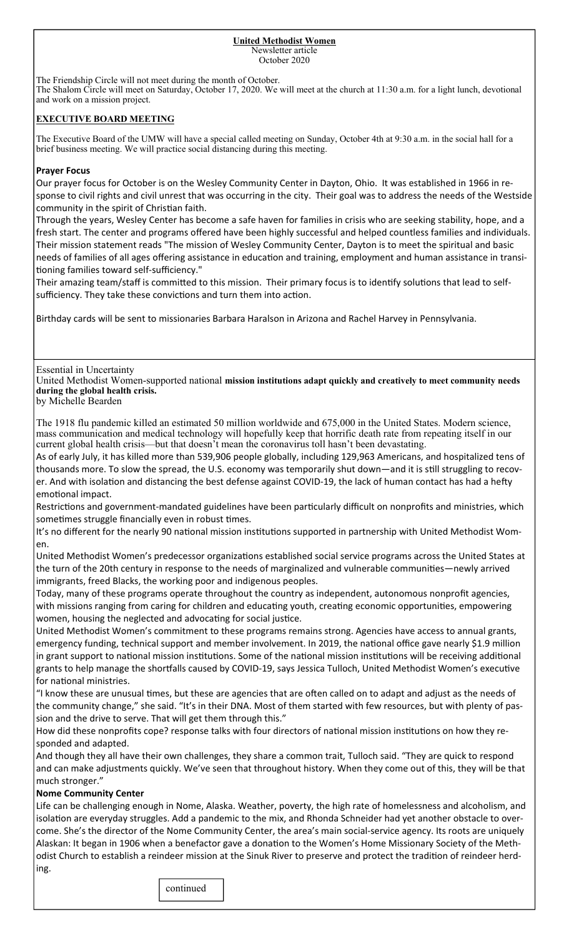#### **United Methodist Women**  Newsletter article October 2020

The Friendship Circle will not meet during the month of October. The Shalom Circle will meet on Saturday, October 17, 2020. We will meet at the church at 11:30 a.m. for a light lunch, devotional and work on a mission project.

#### **EXECUTIVE BOARD MEETING**

The Executive Board of the UMW will have a special called meeting on Sunday, October 4th at 9:30 a.m. in the social hall for a brief business meeting. We will practice social distancing during this meeting.

#### **Prayer Focus**

Our prayer focus for October is on the Wesley Community Center in Dayton, Ohio. It was established in 1966 in response to civil rights and civil unrest that was occurring in the city. Their goal was to address the needs of the Westside community in the spirit of Christian faith.

Through the years, Wesley Center has become a safe haven for families in crisis who are seeking stability, hope, and a fresh start. The center and programs offered have been highly successful and helped countless families and individuals. Their mission statement reads "The mission of Wesley Community Center, Dayton is to meet the spiritual and basic needs of families of all ages offering assistance in education and training, employment and human assistance in transitioning families toward self-sufficiency."

Their amazing team/staff is committed to this mission. Their primary focus is to identify solutions that lead to selfsufficiency. They take these convictions and turn them into action.

Birthday cards will be sent to missionaries Barbara Haralson in Arizona and Rachel Harvey in Pennsylvania.

Essential in Uncertainty

United Methodist Women-supported national **mission institutions adapt quickly and creatively to meet community needs during the global health crisis.**

by Michelle Bearden

The 1918 flu pandemic killed an estimated 50 million worldwide and 675,000 in the United States. Modern science, mass communication and medical technology will hopefully keep that horrific death rate from repeating itself in our current global health crisis—but that doesn't mean the coronavirus toll hasn't been devastating.

As of early July, it has killed more than 539,906 people globally, including 129,963 Americans, and hospitalized tens of thousands more. To slow the spread, the U.S. economy was temporarily shut down—and it is still struggling to recover. And with isolation and distancing the best defense against COVID-19, the lack of human contact has had a hefty emotional impact.

Restrictions and government-mandated guidelines have been particularly difficult on nonprofits and ministries, which sometimes struggle financially even in robust times.

It's no different for the nearly 90 national mission institutions supported in partnership with United Methodist Women.

United Methodist Women's predecessor organizations established social service programs across the United States at the turn of the 20th century in response to the needs of marginalized and vulnerable communities—newly arrived immigrants, freed Blacks, the working poor and indigenous peoples.

Today, many of these programs operate throughout the country as independent, autonomous nonprofit agencies, with missions ranging from caring for children and educating youth, creating economic opportunities, empowering women, housing the neglected and advocating for social justice.

United Methodist Women's commitment to these programs remains strong. Agencies have access to annual grants, emergency funding, technical support and member involvement. In 2019, the national office gave nearly \$1.9 million in grant support to national mission institutions. Some of the national mission institutions will be receiving additional grants to help manage the shortfalls caused by COVID-19, says Jessica Tulloch, United Methodist Women's executive for national ministries.

"I know these are unusual times, but these are agencies that are often called on to adapt and adjust as the needs of the community change," she said. "It's in their DNA. Most of them started with few resources, but with plenty of passion and the drive to serve. That will get them through this."

How did these nonprofits cope? response talks with four directors of national mission institutions on how they responded and adapted.

And though they all have their own challenges, they share a common trait, Tulloch said. "They are quick to respond and can make adjustments quickly. We've seen that throughout history. When they come out of this, they will be that much stronger."

#### **Nome Community Center**

Life can be challenging enough in Nome, Alaska. Weather, poverty, the high rate of homelessness and alcoholism, and isolation are everyday struggles. Add a pandemic to the mix, and Rhonda Schneider had yet another obstacle to overcome. She's the director of the Nome Community Center, the area's main social-service agency. Its roots are uniquely Alaskan: It began in 1906 when a benefactor gave a donation to the Women's Home Missionary Society of the Methodist Church to establish a reindeer mission at the Sinuk River to preserve and protect the tradition of reindeer herding.

**continued**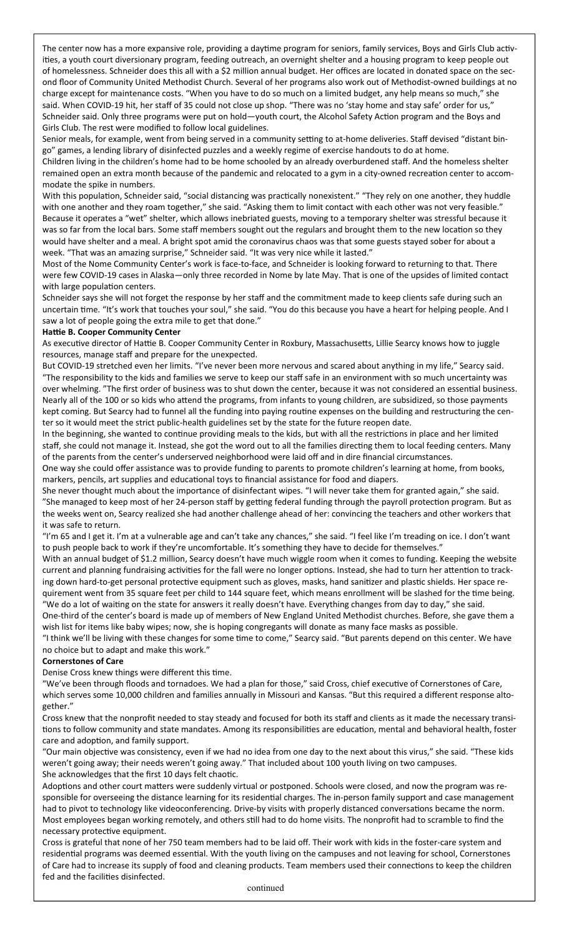The center now has a more expansive role, providing a daytime program for seniors, family services, Boys and Girls Club activities, a youth court diversionary program, feeding outreach, an overnight shelter and a housing program to keep people out of homelessness. Schneider does this all with a \$2 million annual budget. Her offices are located in donated space on the second floor of Community United Methodist Church. Several of her programs also work out of Methodist-owned buildings at no charge except for maintenance costs. "When you have to do so much on a limited budget, any help means so much," she said. When COVID-19 hit, her staff of 35 could not close up shop. "There was no 'stay home and stay safe' order for us," Schneider said. Only three programs were put on hold—youth court, the Alcohol Safety Action program and the Boys and Girls Club. The rest were modified to follow local guidelines.

Senior meals, for example, went from being served in a community setting to at-home deliveries. Staff devised "distant bingo" games, a lending library of disinfected puzzles and a weekly regime of exercise handouts to do at home.

Children living in the children's home had to be home schooled by an already overburdened staff. And the homeless shelter remained open an extra month because of the pandemic and relocated to a gym in a city-owned recreation center to accommodate the spike in numbers.

With this population, Schneider said, "social distancing was practically nonexistent." "They rely on one another, they huddle with one another and they roam together," she said. "Asking them to limit contact with each other was not very feasible." Because it operates a "wet" shelter, which allows inebriated guests, moving to a temporary shelter was stressful because it was so far from the local bars. Some staff members sought out the regulars and brought them to the new location so they would have shelter and a meal. A bright spot amid the coronavirus chaos was that some guests stayed sober for about a week. "That was an amazing surprise," Schneider said. "It was very nice while it lasted."

Most of the Nome Community Center's work is face-to-face, and Schneider is looking forward to returning to that. There were few COVID-19 cases in Alaska—only three recorded in Nome by late May. That is one of the upsides of limited contact with large population centers.

Schneider says she will not forget the response by her staff and the commitment made to keep clients safe during such an uncertain time. "It's work that touches your soul," she said. "You do this because you have a heart for helping people. And I saw a lot of people going the extra mile to get that done."

#### **Haƫe B. Cooper Community Center**

As executive director of Hattie B. Cooper Community Center in Roxbury, Massachusetts, Lillie Searcy knows how to juggle resources, manage staff and prepare for the unexpected.

But COVID-19 stretched even her limits. "I've never been more nervous and scared about anything in my life," Searcy said. "The responsibility to the kids and families we serve to keep our staff safe in an environment with so much uncertainty was over whelming. "The first order of business was to shut down the center, because it was not considered an essential business. Nearly all of the 100 or so kids who attend the programs, from infants to young children, are subsidized, so those payments kept coming. But Searcy had to funnel all the funding into paying routine expenses on the building and restructuring the center so it would meet the strict public-health guidelines set by the state for the future reopen date.

In the beginning, she wanted to continue providing meals to the kids, but with all the restrictions in place and her limited staff, she could not manage it. Instead, she got the word out to all the families directing them to local feeding centers. Many of the parents from the center's underserved neighborhood were laid off and in dire financial circumstances.

One way she could offer assistance was to provide funding to parents to promote children's learning at home, from books, markers, pencils, art supplies and educational toys to financial assistance for food and diapers.

She never thought much about the importance of disinfectant wipes. "I will never take them for granted again," she said. "She managed to keep most of her 24-person staff by getting federal funding through the payroll protection program. But as the weeks went on, Searcy realized she had another challenge ahead of her: convincing the teachers and other workers that it was safe to return.

"I'm 65 and I get it. I'm at a vulnerable age and can't take any chances," she said. "I feel like I'm treading on ice. I don't want to push people back to work if they're uncomfortable. It's something they have to decide for themselves."

With an annual budget of \$1.2 million, Searcy doesn't have much wiggle room when it comes to funding. Keeping the website current and planning fundraising activities for the fall were no longer options. Instead, she had to turn her attention to tracking down hard-to-get personal protective equipment such as gloves, masks, hand sanitizer and plastic shields. Her space requirement went from 35 square feet per child to 144 square feet, which means enrollment will be slashed for the time being. "We do a lot of waiting on the state for answers it really doesn't have. Everything changes from day to day," she said.

One-third of the center's board is made up of members of New England United Methodist churches. Before, she gave them a wish list for items like baby wipes; now, she is hoping congregants will donate as many face masks as possible.

"I think we'll be living with these changes for some time to come," Searcy said. "But parents depend on this center. We have no choice but to adapt and make this work."

#### **Cornerstones of Care**

Denise Cross knew things were different this time.

"We've been through floods and tornadoes. We had a plan for those," said Cross, chief executive of Cornerstones of Care, which serves some 10,000 children and families annually in Missouri and Kansas. "But this required a different response altogether."

Cross knew that the nonprofit needed to stay steady and focused for both its staff and clients as it made the necessary transitions to follow community and state mandates. Among its responsibilities are education, mental and behavioral health, foster care and adoption, and family support.

"Our main objective was consistency, even if we had no idea from one day to the next about this virus," she said. "These kids weren't going away; their needs weren't going away." That included about 100 youth living on two campuses. She acknowledges that the first 10 days felt chaotic.

Adoptions and other court matters were suddenly virtual or postponed. Schools were closed, and now the program was responsible for overseeing the distance learning for its residential charges. The in-person family support and case management had to pivot to technology like videoconferencing. Drive-by visits with properly distanced conversations became the norm. Most employees began working remotely, and others still had to do home visits. The nonprofit had to scramble to find the necessary protective equipment.

Cross is grateful that none of her 750 team members had to be laid off. Their work with kids in the foster-care system and residential programs was deemed essential. With the youth living on the campuses and not leaving for school, Cornerstones of Care had to increase its supply of food and cleaning products. Team members used their connections to keep the children fed and the facilities disinfected.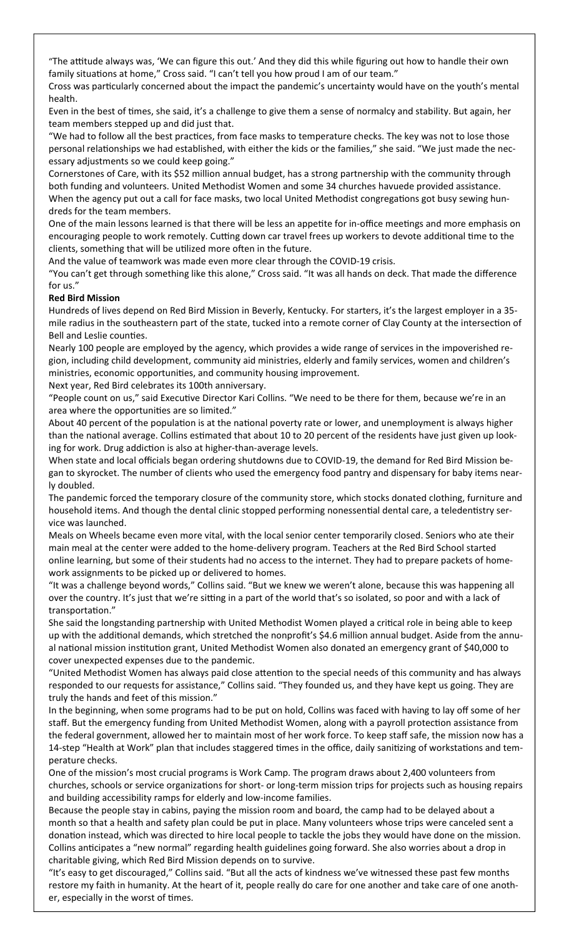"The attitude always was, 'We can figure this out.' And they did this while figuring out how to handle their own family situations at home," Cross said. "I can't tell you how proud I am of our team."

Cross was particularly concerned about the impact the pandemic's uncertainty would have on the youth's mental health.

Even in the best of times, she said, it's a challenge to give them a sense of normalcy and stability. But again, her team members stepped up and did just that.

"We had to follow all the best practices, from face masks to temperature checks. The key was not to lose those personal relationships we had established, with either the kids or the families," she said. "We just made the necessary adjustments so we could keep going."

Cornerstones of Care, with its \$52 million annual budget, has a strong partnership with the community through both funding and volunteers. United Methodist Women and some 34 churches havuede provided assistance. When the agency put out a call for face masks, two local United Methodist congregations got busy sewing hundreds for the team members.

One of the main lessons learned is that there will be less an appetite for in-office meetings and more emphasis on encouraging people to work remotely. Cutting down car travel frees up workers to devote additional time to the clients, something that will be utilized more often in the future.

And the value of teamwork was made even more clear through the COVID-19 crisis.

"You can't get through something like this alone," Cross said. "It was all hands on deck. That made the difference for us."

### **Red Bird Mission**

Hundreds of lives depend on Red Bird Mission in Beverly, Kentucky. For starters, it's the largest employer in a 35 mile radius in the southeastern part of the state, tucked into a remote corner of Clay County at the intersection of Bell and Leslie counties.

Nearly 100 people are employed by the agency, which provides a wide range of services in the impoverished region, including child development, community aid ministries, elderly and family services, women and children's ministries, economic opportunities, and community housing improvement.

Next year, Red Bird celebrates its 100th anniversary.

"People count on us," said Executive Director Kari Collins. "We need to be there for them, because we're in an area where the opportunities are so limited."

About 40 percent of the population is at the national poverty rate or lower, and unemployment is always higher than the national average. Collins estimated that about 10 to 20 percent of the residents have just given up looking for work. Drug addiction is also at higher-than-average levels.

When state and local officials began ordering shutdowns due to COVID-19, the demand for Red Bird Mission began to skyrocket. The number of clients who used the emergency food pantry and dispensary for baby items nearly doubled.

The pandemic forced the temporary closure of the community store, which stocks donated clothing, furniture and household items. And though the dental clinic stopped performing nonessential dental care, a teledentistry service was launched.

Meals on Wheels became even more vital, with the local senior center temporarily closed. Seniors who ate their main meal at the center were added to the home-delivery program. Teachers at the Red Bird School started online learning, but some of their students had no access to the internet. They had to prepare packets of homework assignments to be picked up or delivered to homes.

"It was a challenge beyond words," Collins said. "But we knew we weren't alone, because this was happening all over the country. It's just that we're sitting in a part of the world that's so isolated, so poor and with a lack of transportation."

She said the longstanding partnership with United Methodist Women played a critical role in being able to keep up with the additional demands, which stretched the nonprofit's \$4.6 million annual budget. Aside from the annual national mission institution grant, United Methodist Women also donated an emergency grant of \$40,000 to cover unexpected expenses due to the pandemic.

"United Methodist Women has always paid close attention to the special needs of this community and has always responded to our requests for assistance," Collins said. "They founded us, and they have kept us going. They are truly the hands and feet of this mission."

In the beginning, when some programs had to be put on hold, Collins was faced with having to lay off some of her staff. But the emergency funding from United Methodist Women, along with a payroll protection assistance from the federal government, allowed her to maintain most of her work force. To keep staff safe, the mission now has a 14-step "Health at Work" plan that includes staggered times in the office, daily sanitizing of workstations and temperature checks.

One of the mission's most crucial programs is Work Camp. The program draws about 2,400 volunteers from churches, schools or service organizations for short- or long-term mission trips for projects such as housing repairs and building accessibility ramps for elderly and low-income families.

Because the people stay in cabins, paying the mission room and board, the camp had to be delayed about a month so that a health and safety plan could be put in place. Many volunteers whose trips were canceled sent a donation instead, which was directed to hire local people to tackle the jobs they would have done on the mission. Collins anticipates a "new normal" regarding health guidelines going forward. She also worries about a drop in charitable giving, which Red Bird Mission depends on to survive.

"It's easy to get discouraged," Collins said. "But all the acts of kindness we've witnessed these past few months restore my faith in humanity. At the heart of it, people really do care for one another and take care of one another, especially in the worst of times.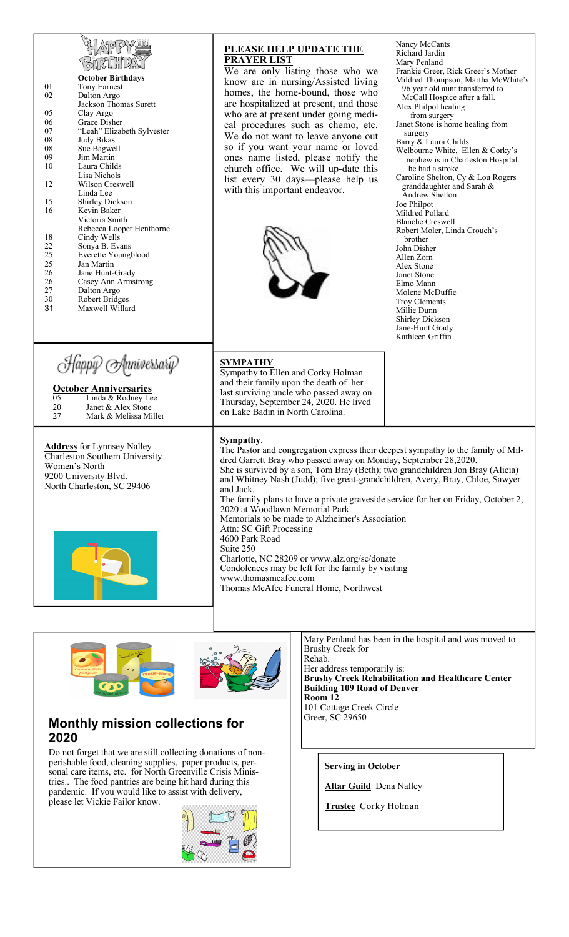| ı<br>Jñ.<br>ı |  |
|---------------|--|

| N3HHPA<br><b>October Birthdays</b><br><b>Tony Earnest</b><br>01<br>02<br>Dalton Argo<br>Jackson Thomas Surett<br>05<br>Clay Argo<br>06<br>Grace Disher<br>07<br>"Leah" Elizabeth Sylvester<br>08<br>Judy Bikas<br>08<br>Sue Bagwell<br>09<br>Jim Martin<br>10<br>Laura Childs<br>Lisa Nichols<br>Wilson Creswell<br>12<br>Linda Lee<br>15<br>Shirley Dickson<br>16<br>Kevin Baker<br>Victoria Smith<br>Rebecca Looper Henthorne<br>18<br>Cindy Wells<br>22<br>Sonya B. Evans<br>25<br>Everette Youngblood<br>25<br>Jan Martin<br>26<br>Jane Hunt-Grady<br>26<br>Casey Ann Armstrong<br>27<br>Dalton Argo<br>30<br>Robert Bridges<br>31<br>Maxwell Willard | <b>PLEASE HELP UPDATE THE</b><br><b>PRAYER LIST</b><br>We are only listing those who we<br>know are in nursing/Assisted living<br>homes, the home-bound, those who<br>are hospitalized at present, and those<br>who are at present under going medi-<br>cal procedures such as chemo, etc.<br>We do not want to leave anyone out<br>so if you want your name or loved<br>ones name listed, please notify the<br>church office. We will up-date this<br>list every 30 days—please help us<br>with this important endeavor.                                                                                                                                                                                                                                      | Nancy McCants<br>Richard Jardin<br>Mary Penland<br>Frankie Greer, Rick Greer's Mother<br>Mildred Thompson, Martha McWhite's<br>96 year old aunt transferred to<br>McCall Hospice after a fall.<br>Alex Philpot healing<br>from surgery<br>Janet Stone is home healing from<br>surgery<br>Barry & Laura Childs<br>Welbourne White, Ellen & Corky's<br>nephew is in Charleston Hospital<br>he had a stroke.<br>Caroline Shelton, Cy & Lou Rogers<br>granddaughter and Sarah &<br>Andrew Shelton<br>Joe Philpot<br>Mildred Pollard<br><b>Blanche Creswell</b><br>Robert Moler, Linda Crouch's<br>brother<br>John Disher<br>Allen Zorn<br>Alex Stone<br>Janet Stone<br>Elmo Mann<br>Molene McDuffie<br>Troy Clements<br>Millie Dunn<br><b>Shirley Dickson</b><br>Jane-Hunt Grady<br>Kathleen Griffin |  |  |
|-----------------------------------------------------------------------------------------------------------------------------------------------------------------------------------------------------------------------------------------------------------------------------------------------------------------------------------------------------------------------------------------------------------------------------------------------------------------------------------------------------------------------------------------------------------------------------------------------------------------------------------------------------------|----------------------------------------------------------------------------------------------------------------------------------------------------------------------------------------------------------------------------------------------------------------------------------------------------------------------------------------------------------------------------------------------------------------------------------------------------------------------------------------------------------------------------------------------------------------------------------------------------------------------------------------------------------------------------------------------------------------------------------------------------------------|--------------------------------------------------------------------------------------------------------------------------------------------------------------------------------------------------------------------------------------------------------------------------------------------------------------------------------------------------------------------------------------------------------------------------------------------------------------------------------------------------------------------------------------------------------------------------------------------------------------------------------------------------------------------------------------------------------------------------------------------------------------------------------------------------|--|--|
| Happy Anniversary<br><b>October Anniversaries</b><br>$\overline{05}$<br>Linda & Rodney Lee<br>Janet & Alex Stone<br>20<br>27<br>Mark & Melissa Miller                                                                                                                                                                                                                                                                                                                                                                                                                                                                                                     | <b>SYMPATHY</b><br>Sympathy to Ellen and Corky Holman<br>and their family upon the death of her<br>last surviving uncle who passed away on<br>Thursday, September 24, 2020. He lived<br>on Lake Badin in North Carolina.                                                                                                                                                                                                                                                                                                                                                                                                                                                                                                                                       |                                                                                                                                                                                                                                                                                                                                                                                                                                                                                                                                                                                                                                                                                                                                                                                                  |  |  |
| <b>Address</b> for Lynnsey Nalley<br>Charleston Southern University<br>Women's North<br>9200 University Blvd.<br>North Charleston, SC 29406                                                                                                                                                                                                                                                                                                                                                                                                                                                                                                               | Sympathy.<br>The Pastor and congregation express their deepest sympathy to the family of Mil-<br>dred Garrett Bray who passed away on Monday, September 28,2020.<br>She is survived by a son, Tom Bray (Beth); two grandchildren Jon Bray (Alicia)<br>and Whitney Nash (Judd); five great-grandchildren, Avery, Bray, Chloe, Sawyer<br>and Jack.<br>The family plans to have a private graveside service for her on Friday, October 2,<br>2020 at Woodlawn Memorial Park.<br>Memorials to be made to Alzheimer's Association<br>Attn: SC Gift Processing<br>4600 Park Road<br>Suite 250<br>Charlotte, NC 28209 or www.alz.org/sc/donate<br>Condolences may be left for the family by visiting<br>www.thomasmcafee.com<br>Thomas McAfee Funeral Home, Northwest |                                                                                                                                                                                                                                                                                                                                                                                                                                                                                                                                                                                                                                                                                                                                                                                                  |  |  |
|                                                                                                                                                                                                                                                                                                                                                                                                                                                                                                                                                                                                                                                           |                                                                                                                                                                                                                                                                                                                                                                                                                                                                                                                                                                                                                                                                                                                                                                |                                                                                                                                                                                                                                                                                                                                                                                                                                                                                                                                                                                                                                                                                                                                                                                                  |  |  |



# **Monthly mission collections for 2020**

Do not forget that we are still collecting donations of nonperishable food, cleaning supplies, paper products, personal care items, etc. for North Greenville Crisis Ministries.. The food pantries are being hit hard during this pandemic. If you would like to assist with delivery, please let Vickie Failor know.



Mary Penland has been in the hospital and was moved to Brushy Creek for Rehab.

Her address temporarily is: **Brushy Creek Rehabilitation and Healthcare Center Building 109 Road of Denver Room 12**  101 Cottage Creek Circle Greer, SC 29650

#### **Serving in October**

**Altar Guild** Dena Nalley

**Trustee** Corky Holman